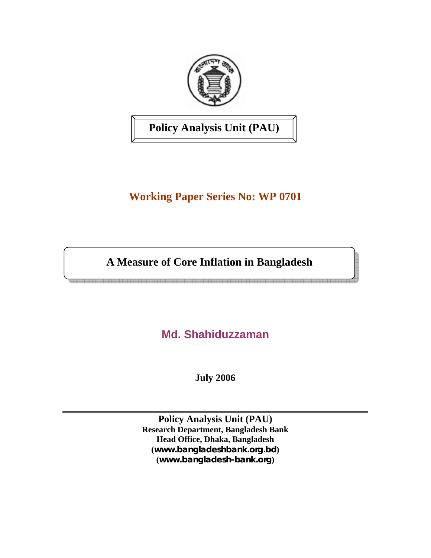

**Policy Analysis Unit (PAU)** 

# **Working Paper Series No: WP 0701**

**A Measure of Core Inflation in Bangladesh** 

**Md. Shahiduzzaman** 

**July 2006** 

**Policy Analysis Unit (PAU) Research Department, Bangladesh Bank Head Office, Dhaka, Bangladesh (***www.bangladeshbank.org.bd***) (***www.bangladesh-bank.org***)**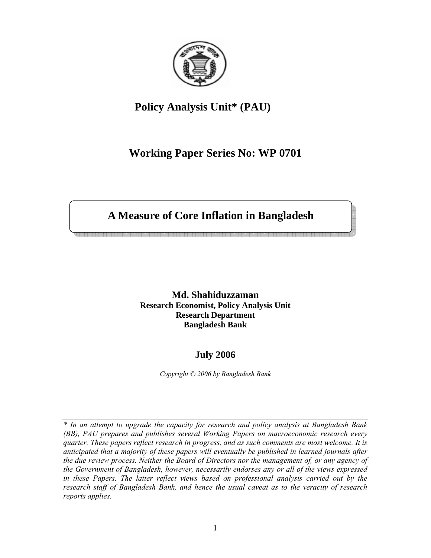

## **Policy Analysis Unit\* (PAU)**

### **Working Paper Series No: WP 0701**

## **A Measure of Core Inflation in Bangladesh**

**Md. Shahiduzzaman Research Economist, Policy Analysis Unit Research Department Bangladesh Bank** 

### **July 2006**

*Copyright © 2006 by Bangladesh Bank* 

*\* In an attempt to upgrade the capacity for research and policy analysis at Bangladesh Bank (BB), PAU prepares and publishes several Working Papers on macroeconomic research every quarter. These papers reflect research in progress, and as such comments are most welcome. It is anticipated that a majority of these papers will eventually be published in learned journals after the due review process. Neither the Board of Directors nor the management of, or any agency of the Government of Bangladesh, however, necessarily endorses any or all of the views expressed in these Papers. The latter reflect views based on professional analysis carried out by the research staff of Bangladesh Bank, and hence the usual caveat as to the veracity of research reports applies.*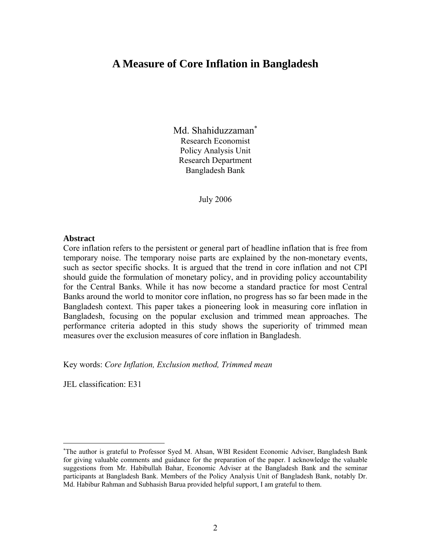### **A Measure of Core Inflation in Bangladesh**

Md. Shahiduzzaman<sup>\*</sup> Research Economist Policy Analysis Unit Research Department Bangladesh Bank

July 2006

#### **Abstract**

Core inflation refers to the persistent or general part of headline inflation that is free from temporary noise. The temporary noise parts are explained by the non-monetary events, such as sector specific shocks. It is argued that the trend in core inflation and not CPI should guide the formulation of monetary policy, and in providing policy accountability for the Central Banks. While it has now become a standard practice for most Central Banks around the world to monitor core inflation, no progress has so far been made in the Bangladesh context. This paper takes a pioneering look in measuring core inflation in Bangladesh, focusing on the popular exclusion and trimmed mean approaches. The performance criteria adopted in this study shows the superiority of trimmed mean measures over the exclusion measures of core inflation in Bangladesh.

Key words: *Core Inflation, Exclusion method, Trimmed mean*

JEL classification: E31

<sup>∗</sup> The author is grateful to Professor Syed M. Ahsan, WBI Resident Economic Adviser, Bangladesh Bank for giving valuable comments and guidance for the preparation of the paper. I acknowledge the valuable suggestions from Mr. Habibullah Bahar, Economic Adviser at the Bangladesh Bank and the seminar participants at Bangladesh Bank. Members of the Policy Analysis Unit of Bangladesh Bank, notably Dr. Md. Habibur Rahman and Subhasish Barua provided helpful support, I am grateful to them.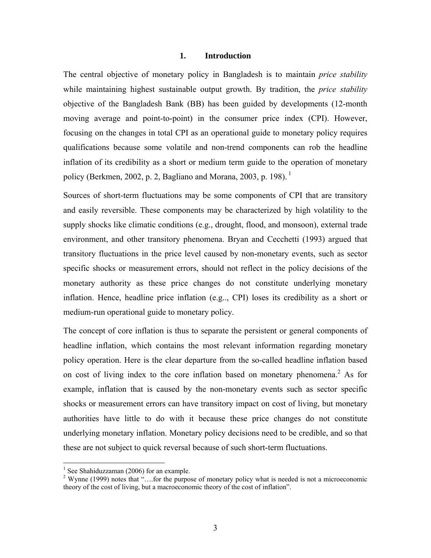#### **1. Introduction**

The central objective of monetary policy in Bangladesh is to maintain *price stability* while maintaining highest sustainable output growth. By tradition, the *price stability* objective of the Bangladesh Bank (BB) has been guided by developments (12-month moving average and point-to-point) in the consumer price index (CPI). However, focusing on the changes in total CPI as an operational guide to monetary policy requires qualifications because some volatile and non-trend components can rob the headline inflation of its credibility as a short or medium term guide to the operation of monetary policy (Berkmen, 2002, p. 2, Bagliano and Morana, 2003, p. 198).<sup>1</sup>

Sources of short-term fluctuations may be some components of CPI that are transitory and easily reversible. These components may be characterized by high volatility to the supply shocks like climatic conditions (e.g., drought, flood, and monsoon), external trade environment, and other transitory phenomena. Bryan and Cecchetti (1993) argued that transitory fluctuations in the price level caused by non-monetary events, such as sector specific shocks or measurement errors, should not reflect in the policy decisions of the monetary authority as these price changes do not constitute underlying monetary inflation. Hence, headline price inflation (e.g.., CPI) loses its credibility as a short or medium-run operational guide to monetary policy.

The concept of core inflation is thus to separate the persistent or general components of headline inflation, which contains the most relevant information regarding monetary policy operation. Here is the clear departure from the so-called headline inflation based on cost of living index to the core inflation based on monetary phenomena.<sup>2</sup> As for example, inflation that is caused by the non-monetary events such as sector specific shocks or measurement errors can have transitory impact on cost of living, but monetary authorities have little to do with it because these price changes do not constitute underlying monetary inflation. Monetary policy decisions need to be credible, and so that these are not subject to quick reversal because of such short-term fluctuations.

 $<sup>1</sup>$  See Shahiduzzaman (2006) for an example.</sup>

<sup>&</sup>lt;sup>2</sup> Wynne (1999) notes that "....for the purpose of monetary policy what is needed is not a microeconomic theory of the cost of living, but a macroeconomic theory of the cost of inflation".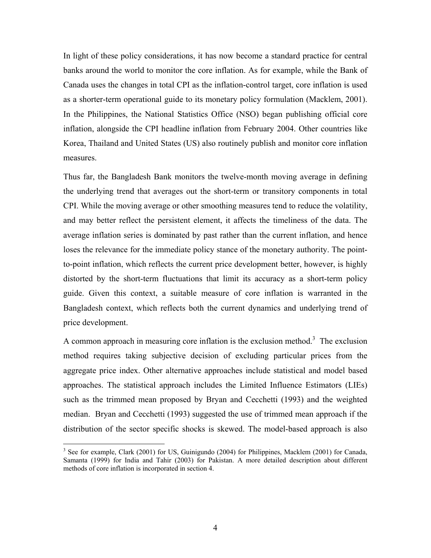In light of these policy considerations, it has now become a standard practice for central banks around the world to monitor the core inflation. As for example, while the Bank of Canada uses the changes in total CPI as the inflation-control target, core inflation is used as a shorter-term operational guide to its monetary policy formulation (Macklem, 2001). In the Philippines, the National Statistics Office (NSO) began publishing official core inflation, alongside the CPI headline inflation from February 2004. Other countries like Korea, Thailand and United States (US) also routinely publish and monitor core inflation measures.

Thus far, the Bangladesh Bank monitors the twelve-month moving average in defining the underlying trend that averages out the short-term or transitory components in total CPI. While the moving average or other smoothing measures tend to reduce the volatility, and may better reflect the persistent element, it affects the timeliness of the data. The average inflation series is dominated by past rather than the current inflation, and hence loses the relevance for the immediate policy stance of the monetary authority. The pointto-point inflation, which reflects the current price development better, however, is highly distorted by the short-term fluctuations that limit its accuracy as a short-term policy guide. Given this context, a suitable measure of core inflation is warranted in the Bangladesh context, which reflects both the current dynamics and underlying trend of price development.

A common approach in measuring core inflation is the exclusion method.<sup>3</sup> The exclusion method requires taking subjective decision of excluding particular prices from the aggregate price index. Other alternative approaches include statistical and model based approaches. The statistical approach includes the Limited Influence Estimators (LIEs) such as the trimmed mean proposed by Bryan and Cecchetti (1993) and the weighted median. Bryan and Cecchetti (1993) suggested the use of trimmed mean approach if the distribution of the sector specific shocks is skewed. The model-based approach is also

<sup>&</sup>lt;sup>3</sup> See for example, Clark (2001) for US, Guinigundo (2004) for Philippines, Macklem (2001) for Canada, Samanta (1999) for India and Tahir (2003) for Pakistan. A more detailed description about different methods of core inflation is incorporated in section 4.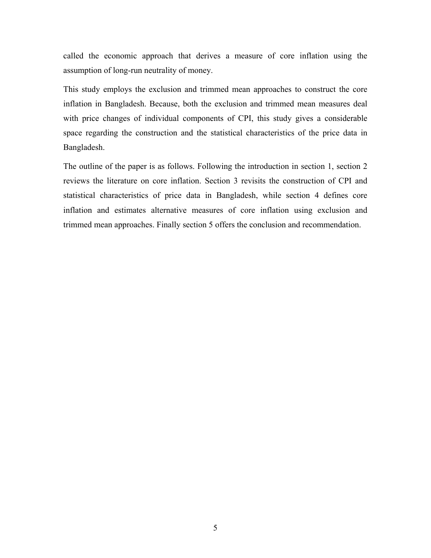called the economic approach that derives a measure of core inflation using the assumption of long-run neutrality of money.

This study employs the exclusion and trimmed mean approaches to construct the core inflation in Bangladesh. Because, both the exclusion and trimmed mean measures deal with price changes of individual components of CPI, this study gives a considerable space regarding the construction and the statistical characteristics of the price data in Bangladesh.

The outline of the paper is as follows. Following the introduction in section 1, section 2 reviews the literature on core inflation. Section 3 revisits the construction of CPI and statistical characteristics of price data in Bangladesh, while section 4 defines core inflation and estimates alternative measures of core inflation using exclusion and trimmed mean approaches. Finally section 5 offers the conclusion and recommendation.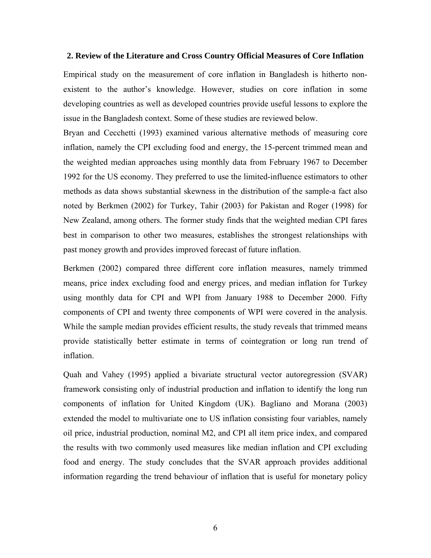#### **2. Review of the Literature and Cross Country Official Measures of Core Inflation**

Empirical study on the measurement of core inflation in Bangladesh is hitherto nonexistent to the author's knowledge. However, studies on core inflation in some developing countries as well as developed countries provide useful lessons to explore the issue in the Bangladesh context. Some of these studies are reviewed below.

Bryan and Cecchetti (1993) examined various alternative methods of measuring core inflation, namely the CPI excluding food and energy, the 15-percent trimmed mean and the weighted median approaches using monthly data from February 1967 to December 1992 for the US economy. They preferred to use the limited-influence estimators to other methods as data shows substantial skewness in the distribution of the sample-a fact also noted by Berkmen (2002) for Turkey, Tahir (2003) for Pakistan and Roger (1998) for New Zealand, among others. The former study finds that the weighted median CPI fares best in comparison to other two measures, establishes the strongest relationships with past money growth and provides improved forecast of future inflation.

Berkmen (2002) compared three different core inflation measures, namely trimmed means, price index excluding food and energy prices, and median inflation for Turkey using monthly data for CPI and WPI from January 1988 to December 2000. Fifty components of CPI and twenty three components of WPI were covered in the analysis. While the sample median provides efficient results, the study reveals that trimmed means provide statistically better estimate in terms of cointegration or long run trend of inflation.

Quah and Vahey (1995) applied a bivariate structural vector autoregression (SVAR) framework consisting only of industrial production and inflation to identify the long run components of inflation for United Kingdom (UK). Bagliano and Morana (2003) extended the model to multivariate one to US inflation consisting four variables, namely oil price, industrial production, nominal M2, and CPI all item price index, and compared the results with two commonly used measures like median inflation and CPI excluding food and energy. The study concludes that the SVAR approach provides additional information regarding the trend behaviour of inflation that is useful for monetary policy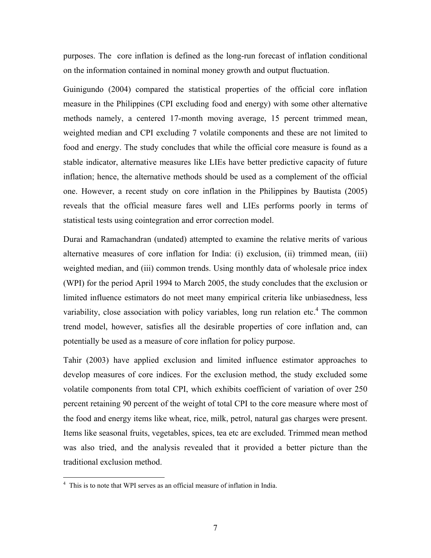purposes. The core inflation is defined as the long-run forecast of inflation conditional on the information contained in nominal money growth and output fluctuation.

Guinigundo (2004) compared the statistical properties of the official core inflation measure in the Philippines (CPI excluding food and energy) with some other alternative methods namely, a centered 17-month moving average, 15 percent trimmed mean, weighted median and CPI excluding 7 volatile components and these are not limited to food and energy. The study concludes that while the official core measure is found as a stable indicator, alternative measures like LIEs have better predictive capacity of future inflation; hence, the alternative methods should be used as a complement of the official one. However, a recent study on core inflation in the Philippines by Bautista (2005) reveals that the official measure fares well and LIEs performs poorly in terms of statistical tests using cointegration and error correction model.

Durai and Ramachandran (undated) attempted to examine the relative merits of various alternative measures of core inflation for India: (i) exclusion, (ii) trimmed mean, (iii) weighted median, and (iii) common trends. Using monthly data of wholesale price index (WPI) for the period April 1994 to March 2005, the study concludes that the exclusion or limited influence estimators do not meet many empirical criteria like unbiasedness, less variability, close association with policy variables, long run relation etc.<sup>4</sup> The common trend model, however, satisfies all the desirable properties of core inflation and, can potentially be used as a measure of core inflation for policy purpose.

Tahir (2003) have applied exclusion and limited influence estimator approaches to develop measures of core indices. For the exclusion method, the study excluded some volatile components from total CPI, which exhibits coefficient of variation of over 250 percent retaining 90 percent of the weight of total CPI to the core measure where most of the food and energy items like wheat, rice, milk, petrol, natural gas charges were present. Items like seasonal fruits, vegetables, spices, tea etc are excluded. Trimmed mean method was also tried, and the analysis revealed that it provided a better picture than the traditional exclusion method.

 4 This is to note that WPI serves as an official measure of inflation in India.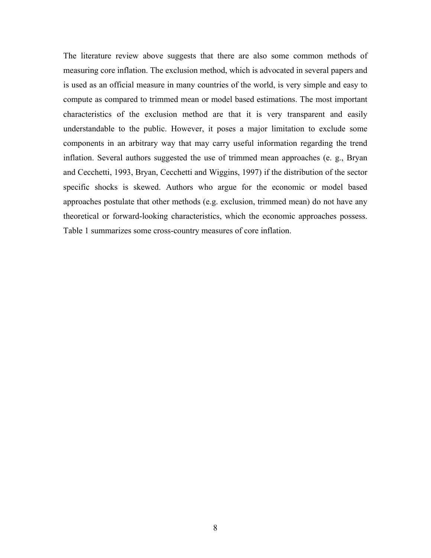The literature review above suggests that there are also some common methods of measuring core inflation. The exclusion method, which is advocated in several papers and is used as an official measure in many countries of the world, is very simple and easy to compute as compared to trimmed mean or model based estimations. The most important characteristics of the exclusion method are that it is very transparent and easily understandable to the public. However, it poses a major limitation to exclude some components in an arbitrary way that may carry useful information regarding the trend inflation. Several authors suggested the use of trimmed mean approaches (e. g., Bryan and Cecchetti, 1993, Bryan, Cecchetti and Wiggins, 1997) if the distribution of the sector specific shocks is skewed. Authors who argue for the economic or model based approaches postulate that other methods (e.g. exclusion, trimmed mean) do not have any theoretical or forward-looking characteristics, which the economic approaches possess. Table 1 summarizes some cross-country measures of core inflation.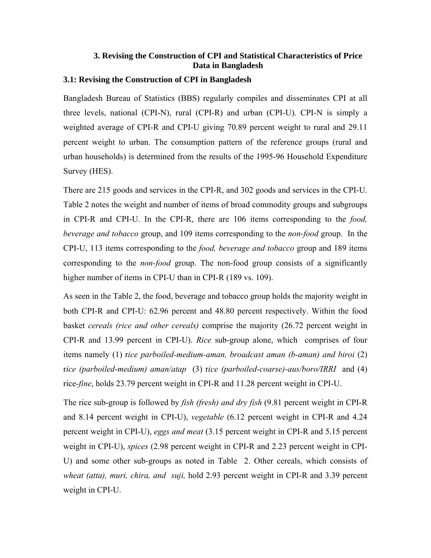### **3. Revising the Construction of CPI and Statistical Characteristics of Price Data in Bangladesh**

#### **3.1: Revising the Construction of CPI in Bangladesh**

Bangladesh Bureau of Statistics (BBS) regularly compiles and disseminates CPI at all three levels, national (CPI-N), rural (CPI-R) and urban (CPI-U). CPI-N is simply a weighted average of CPI-R and CPI-U giving 70.89 percent weight to rural and 29.11 percent weight to urban. The consumption pattern of the reference groups (rural and urban households) is determined from the results of the 1995-96 Household Expenditure Survey (HES).

There are 215 goods and services in the CPI-R, and 302 goods and services in the CPI-U. Table 2 notes the weight and number of items of broad commodity groups and subgroups in CPI-R and CPI-U. In the CPI-R, there are 106 items corresponding to the *food, beverage and tobacco* group, and 109 items corresponding to the *non-food* group. In the CPI-U, 113 items corresponding to the *food, beverage and tobacco* group and 189 items corresponding to the *non-food* group. The non-food group consists of a significantly higher number of items in CPI-U than in CPI-R (189 vs. 109).

As seen in the Table 2, the food, beverage and tobacco group holds the majority weight in both CPI-R and CPI-U: 62.96 percent and 48.80 percent respectively. Within the food basket *cereals (rice and other cereals)* comprise the majority (26.72 percent weight in CPI-R and 13.99 percent in CPI-U). *Rice* sub-group alone, which comprises of four items namely (1) r*ice parboiled-medium-aman, broadcast aman (b-aman) and biroi* (2) r*ice (parboiled-medium) aman/atap* (3) r*ice (parboiled-coarse)-aus/boro/IRRI* and (4) rice*-fine*, holds 23.79 percent weight in CPI-R and 11.28 percent weight in CPI-U.

The rice sub-group is followed by *fish (fresh) and dry fish* (9.81 percent weight in CPI-R and 8.14 percent weight in CPI-U), *vegetable* (6.12 percent weight in CPI-R and 4.24 percent weight in CPI-U), *eggs and meat* (3.15 percent weight in CPI-R and 5.15 percent weight in CPI-U), *spices* (2.98 percent weight in CPI-R and 2.23 percent weight in CPI-U) and some other sub-groups as noted in Table 2. Other cereals, which consists of *wheat (atta), muri, chira, and suji,* hold 2.93 percent weight in CPI-R and 3.39 percent weight in CPI-U.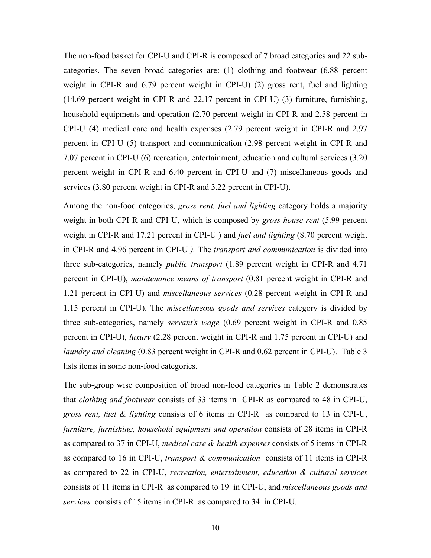The non-food basket for CPI-U and CPI-R is composed of 7 broad categories and 22 subcategories. The seven broad categories are: (1) clothing and footwear (6.88 percent weight in CPI-R and 6.79 percent weight in CPI-U) (2) gross rent, fuel and lighting (14.69 percent weight in CPI-R and 22.17 percent in CPI-U) (3) furniture, furnishing, household equipments and operation (2.70 percent weight in CPI-R and 2.58 percent in CPI-U (4) medical care and health expenses (2.79 percent weight in CPI-R and 2.97 percent in CPI-U (5) transport and communication (2.98 percent weight in CPI-R and 7.07 percent in CPI-U (6) recreation, entertainment, education and cultural services (3.20 percent weight in CPI-R and 6.40 percent in CPI-U and (7) miscellaneous goods and services (3.80 percent weight in CPI-R and 3.22 percent in CPI-U).

Among the non-food categories, *gross rent, fuel and lighting* category holds a majority weight in both CPI-R and CPI-U, which is composed by *gross house rent* (5.99 percent weight in CPI-R and 17.21 percent in CPI-U ) and *fuel and lighting* (8.70 percent weight in CPI-R and 4.96 percent in CPI-U *).* The *transport and communication* is divided into three sub-categories, namely *public transport* (1.89 percent weight in CPI-R and 4.71 percent in CPI-U), *maintenance means of transport* (0.81 percent weight in CPI-R and 1.21 percent in CPI-U) and *miscellaneous services* (0.28 percent weight in CPI-R and 1.15 percent in CPI-U). The *miscellaneous goods and services* category is divided by three sub-categories, namely *servant's wage* (0.69 percent weight in CPI-R and 0.85 percent in CPI-U), *luxury* (2.28 percent weight in CPI-R and 1.75 percent in CPI-U) and *laundry and cleaning* (0.83 percent weight in CPI-R and 0.62 percent in CPI-U). Table 3 lists items in some non-food categories.

The sub-group wise composition of broad non-food categories in Table 2 demonstrates that *clothing and footwear* consists of 33 items in CPI-R as compared to 48 in CPI-U, *gross rent, fuel & lighting* consists of 6 items in CPI-R as compared to 13 in CPI-U, *furniture, furnishing, household equipment and operation* consists of 28 items in CPI-R as compared to 37 in CPI-U, *medical care & health expenses* consists of 5 items in CPI-R as compared to 16 in CPI-U, *transport & communication* consists of 11 items in CPI-R as compared to 22 in CPI-U, *recreation, entertainment, education & cultural services* consists of 11 items in CPI-R as compared to 19 in CPI-U, and *miscellaneous goods and services* consists of 15 items in CPI-R as compared to 34 in CPI-U.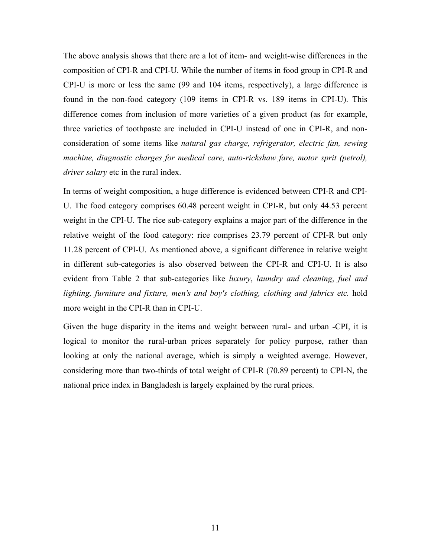The above analysis shows that there are a lot of item- and weight-wise differences in the composition of CPI-R and CPI-U. While the number of items in food group in CPI-R and CPI-U is more or less the same (99 and 104 items, respectively), a large difference is found in the non-food category (109 items in CPI-R vs. 189 items in CPI-U). This difference comes from inclusion of more varieties of a given product (as for example, three varieties of toothpaste are included in CPI-U instead of one in CPI-R, and nonconsideration of some items like *natural gas charge, refrigerator, electric fan, sewing machine, diagnostic charges for medical care, auto-rickshaw fare, motor sprit (petrol), driver salary* etc in the rural index.

In terms of weight composition, a huge difference is evidenced between CPI-R and CPI-U. The food category comprises 60.48 percent weight in CPI-R, but only 44.53 percent weight in the CPI-U. The rice sub-category explains a major part of the difference in the relative weight of the food category: rice comprises 23.79 percent of CPI-R but only 11.28 percent of CPI-U. As mentioned above, a significant difference in relative weight in different sub-categories is also observed between the CPI-R and CPI-U. It is also evident from Table 2 that sub-categories like *luxury*, *laundry and cleaning*, *fuel and*  lighting, furniture and fixture, men's and boy's clothing, clothing and fabrics etc. hold more weight in the CPI-R than in CPI-U.

Given the huge disparity in the items and weight between rural- and urban -CPI, it is logical to monitor the rural-urban prices separately for policy purpose, rather than looking at only the national average, which is simply a weighted average. However, considering more than two-thirds of total weight of CPI-R (70.89 percent) to CPI-N, the national price index in Bangladesh is largely explained by the rural prices.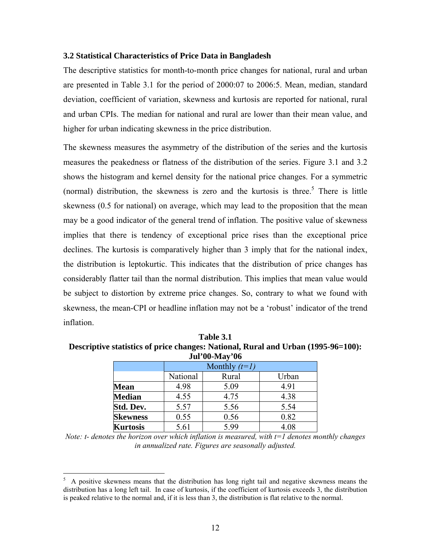#### **3.2 Statistical Characteristics of Price Data in Bangladesh**

The descriptive statistics for month-to-month price changes for national, rural and urban are presented in Table 3.1 for the period of 2000:07 to 2006:5. Mean, median, standard deviation, coefficient of variation, skewness and kurtosis are reported for national, rural and urban CPIs. The median for national and rural are lower than their mean value, and higher for urban indicating skewness in the price distribution.

The skewness measures the asymmetry of the distribution of the series and the kurtosis measures the peakedness or flatness of the distribution of the series. Figure 3.1 and 3.2 shows the histogram and kernel density for the national price changes. For a symmetric (normal) distribution, the skewness is zero and the kurtosis is three.<sup>5</sup> There is little skewness (0.5 for national) on average, which may lead to the proposition that the mean may be a good indicator of the general trend of inflation. The positive value of skewness implies that there is tendency of exceptional price rises than the exceptional price declines. The kurtosis is comparatively higher than 3 imply that for the national index, the distribution is leptokurtic. This indicates that the distribution of price changes has considerably flatter tail than the normal distribution. This implies that mean value would be subject to distortion by extreme price changes. So, contrary to what we found with skewness, the mean-CPI or headline inflation may not be a 'robust' indicator of the trend inflation.

**Table 3.1 Descriptive statistics of price changes: National, Rural and Urban (1995-96=100): Jul'00-May'06** 

|                 |          | Monthly $(t=1)$ |       |  |  |  |  |  |  |  |  |  |
|-----------------|----------|-----------------|-------|--|--|--|--|--|--|--|--|--|
|                 | National | Rural           | Urban |  |  |  |  |  |  |  |  |  |
| <b>Mean</b>     | 4.98     | 5.09            | 4.91  |  |  |  |  |  |  |  |  |  |
| <b>Median</b>   | 4.55     | 4.75            | 4.38  |  |  |  |  |  |  |  |  |  |
| Std. Dev.       | 5.57     | 5.56            | 5.54  |  |  |  |  |  |  |  |  |  |
| <b>Skewness</b> | 0.55     | 0.56            | 0.82  |  |  |  |  |  |  |  |  |  |
| <b>Kurtosis</b> | 5.61     | 5.99            | 4.08  |  |  |  |  |  |  |  |  |  |

*Note: t- denotes the horizon over which inflation is measured, with t=1 denotes monthly changes in annualized rate. Figures are seasonally adjusted.* 

<sup>5</sup> A positive skewness means that the distribution has long right tail and negative skewness means the distribution has a long left tail. In case of kurtosis, if the coefficient of kurtosis exceeds 3, the distribution is peaked relative to the normal and, if it is less than 3, the distribution is flat relative to the normal.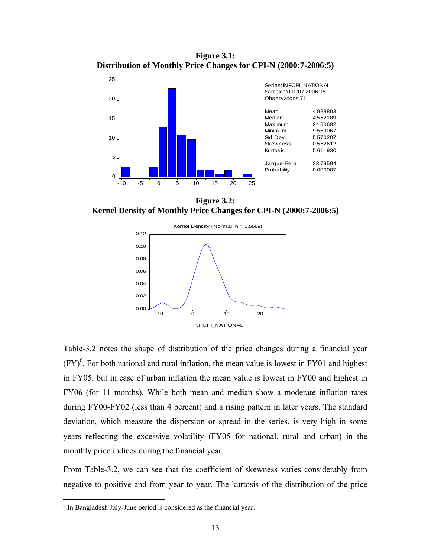**Figure 3.1: Distribution of Monthly Price Changes for CPI-N (2000:7-2006:5)** 



**Figure 3.2: Kernel Density of Monthly Price Changes for CPI-N (2000:7-2006:5)** 



Table-3.2 notes the shape of distribution of the price changes during a financial year  $(FY)^6$ . For both national and rural inflation, the mean value is lowest in FY01 and highest in FY05, but in case of urban inflation the mean value is lowest in FY00 and highest in FY06 (for 11 months). While both mean and median show a moderate inflation rates during FY00-FY02 (less than 4 percent) and a rising pattern in later years. The standard deviation, which measure the dispersion or spread in the series, is very high in some years reflecting the excessive volatility (FY05 for national, rural and urban) in the monthly price indices during the financial year.

From Table-3.2, we can see that the coefficient of skewness varies considerably from negative to positive and from year to year. The kurtosis of the distribution of the price

1

<sup>&</sup>lt;sup>6</sup> In Bangladesh July-June period is considered as the financial year.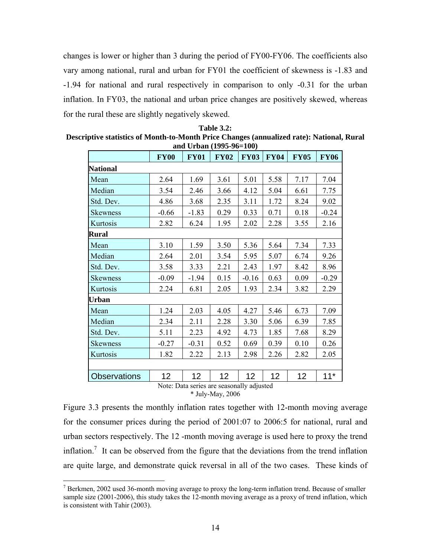changes is lower or higher than 3 during the period of FY00-FY06. The coefficients also vary among national, rural and urban for FY01 the coefficient of skewness is -1.83 and -1.94 for national and rural respectively in comparison to only -0.31 for the urban inflation. In FY03, the national and urban price changes are positively skewed, whereas for the rural these are slightly negatively skewed.

|                     | <b>FY00</b>                                                     | <b>FY01</b> | $\frac{1}{2}$<br><b>FY02</b> | <b>FY03</b>         | <b>FY04</b> | <b>FY05</b> | <b>FY06</b> |
|---------------------|-----------------------------------------------------------------|-------------|------------------------------|---------------------|-------------|-------------|-------------|
|                     |                                                                 |             |                              |                     |             |             |             |
| <b>National</b>     |                                                                 |             |                              |                     |             |             |             |
| Mean                | 2.64                                                            | 1.69        | 3.61                         | 5.01                | 5.58        | 7.17        | 7.04        |
| Median              | 3.54                                                            | 2.46        | 3.66                         | 4.12                | 5.04        | 6.61        | 7.75        |
| Std. Dev.           | 4.86                                                            | 3.68        | 2.35                         | 3.11                | 1.72        | 8.24        | 9.02        |
| <b>Skewness</b>     | $-0.66$                                                         | $-1.83$     | 0.29                         | 0.33                | 0.71        | 0.18        | $-0.24$     |
| Kurtosis            | 2.82                                                            | 6.24        | 1.95                         | 2.02                | 2.28        | 3.55        | 2.16        |
| Rural               |                                                                 |             |                              |                     |             |             |             |
| Mean                | 3.10                                                            | 1.59        | 3.50                         | 5.36                | 5.64        | 7.34        | 7.33        |
| Median              | 2.64                                                            | 2.01        | 3.54                         | 5.95                | 5.07        | 6.74        | 9.26        |
| Std. Dev.           | 3.58                                                            | 3.33        | 2.21                         | 2.43                | 1.97        | 8.42        | 8.96        |
| <b>Skewness</b>     | $-0.09$                                                         | $-1.94$     | 0.15                         | $-0.16$             | 0.63        | 0.09        | $-0.29$     |
| Kurtosis            | 2.24                                                            | 6.81        | 2.05                         | 1.93                | 2.34        | 3.82        | 2.29        |
| Urban               |                                                                 |             |                              |                     |             |             |             |
| Mean                | 1.24                                                            | 2.03        | 4.05                         | 4.27                | 5.46        | 6.73        | 7.09        |
| Median              | 2.34                                                            | 2.11        | 2.28                         | 3.30                | 5.06        | 6.39        | 7.85        |
| Std. Dev.           | 5.11                                                            | 2.23        | 4.92                         | 4.73                | 1.85        | 7.68        | 8.29        |
| <b>Skewness</b>     | $-0.27$                                                         | $-0.31$     | 0.52                         | 0.69                | 0.39        | 0.10        | 0.26        |
| Kurtosis            | 1.82                                                            | 2.22        | 2.13                         | 2.98                | 2.26        | 2.82        | 2.05        |
|                     |                                                                 |             |                              |                     |             |             |             |
| <b>Observations</b> | 12 <sub>2</sub><br>$\mathbf{M}$ is $\mathbf{M}$ if $\mathbf{M}$ | 12          | 12                           | 12<br>$11 - 11 - 1$ | 12          | 12          | $11*$       |

| <b>Table 3.2:</b>                                                                         |
|-------------------------------------------------------------------------------------------|
| Descriptive statistics of Month-to-Month Price Changes (annualized rate): National, Rural |
| and Urban (1005-06–100)                                                                   |

Note: Data series are seasonally adjusted \* July-May, 2006

Figure 3.3 presents the monthly inflation rates together with 12-month moving average for the consumer prices during the period of 2001:07 to 2006:5 for national, rural and urban sectors respectively. The 12 -month moving average is used here to proxy the trend inflation.<sup>7</sup> It can be observed from the figure that the deviations from the trend inflation are quite large, and demonstrate quick reversal in all of the two cases. These kinds of

 $7$  Berkmen, 2002 used 36-month moving average to proxy the long-term inflation trend. Because of smaller sample size (2001-2006), this study takes the 12-month moving average as a proxy of trend inflation, which is consistent with Tahir (2003).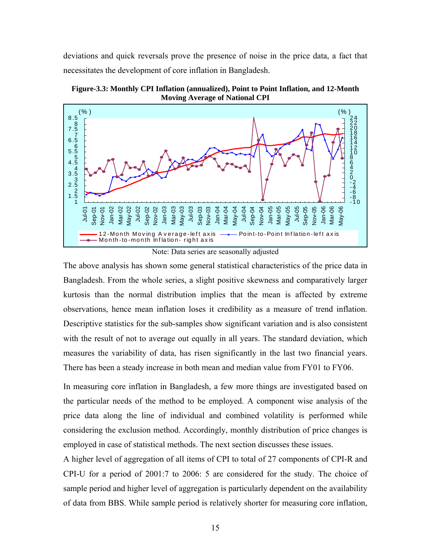deviations and quick reversals prove the presence of noise in the price data, a fact that necessitates the development of core inflation in Bangladesh.



**Figure-3.3: Monthly CPI Inflation (annualized), Point to Point Inflation, and 12-Month Moving Average of National CPI** 

Note: Data series are seasonally adjusted

Month-to-month Inflation-right axis

Jan-04 Mar-04 May-04 Jul-04 Sep-04 Nov-04 Jan-05 Mar-05 May-05 Jul-05 Sep-05 Nov-05 Jan-06 Mar-06 May-06

12-Month Moving Average-left axis ——— Point-to-Point Inflation-left axis

1 1.5 2

コココ Sep-01 Nov-01 Jan-02 Mar-02 May-02 Jul-02 Sep-02 Nov-02 Jan-03 Mar-03 May-03 Jul-03 Sep-03 Nov-03

The above analysis has shown some general statistical characteristics of the price data in Bangladesh. From the whole series, a slight positive skewness and comparatively larger kurtosis than the normal distribution implies that the mean is affected by extreme observations, hence mean inflation loses it credibility as a measure of trend inflation. Descriptive statistics for the sub-samples show significant variation and is also consistent with the result of not to average out equally in all years. The standard deviation, which measures the variability of data, has risen significantly in the last two financial years. There has been a steady increase in both mean and median value from FY01 to FY06.

In measuring core inflation in Bangladesh, a few more things are investigated based on the particular needs of the method to be employed. A component wise analysis of the price data along the line of individual and combined volatility is performed while considering the exclusion method. Accordingly, monthly distribution of price changes is employed in case of statistical methods. The next section discusses these issues.

A higher level of aggregation of all items of CPI to total of 27 components of CPI-R and CPI-U for a period of 2001:7 to 2006: 5 are considered for the study. The choice of sample period and higher level of aggregation is particularly dependent on the availability of data from BBS. While sample period is relatively shorter for measuring core inflation,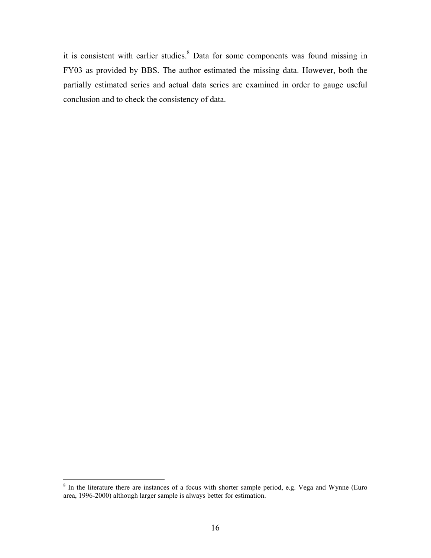it is consistent with earlier studies.<sup>8</sup> Data for some components was found missing in FY03 as provided by BBS. The author estimated the missing data. However, both the partially estimated series and actual data series are examined in order to gauge useful conclusion and to check the consistency of data.

<sup>&</sup>lt;sup>8</sup> In the literature there are instances of a focus with shorter sample period, e.g. Vega and Wynne (Euro area, 1996-2000) although larger sample is always better for estimation.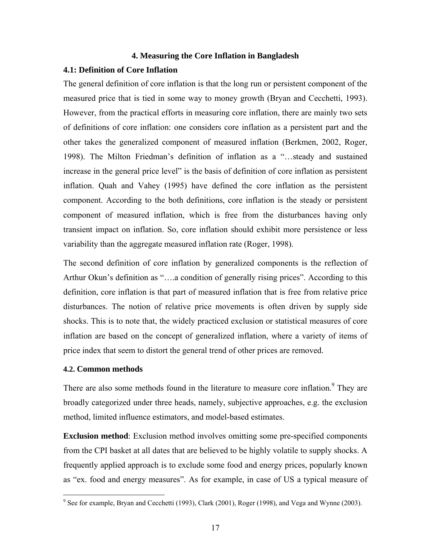#### **4. Measuring the Core Inflation in Bangladesh**

#### **4.1: Definition of Core Inflation**

The general definition of core inflation is that the long run or persistent component of the measured price that is tied in some way to money growth (Bryan and Cecchetti, 1993). However, from the practical efforts in measuring core inflation, there are mainly two sets of definitions of core inflation: one considers core inflation as a persistent part and the other takes the generalized component of measured inflation (Berkmen, 2002, Roger, 1998). The Milton Friedman's definition of inflation as a "…steady and sustained increase in the general price level" is the basis of definition of core inflation as persistent inflation. Quah and Vahey (1995) have defined the core inflation as the persistent component. According to the both definitions, core inflation is the steady or persistent component of measured inflation, which is free from the disturbances having only transient impact on inflation. So, core inflation should exhibit more persistence or less variability than the aggregate measured inflation rate (Roger, 1998).

The second definition of core inflation by generalized components is the reflection of Arthur Okun's definition as "....a condition of generally rising prices". According to this definition, core inflation is that part of measured inflation that is free from relative price disturbances. The notion of relative price movements is often driven by supply side shocks. This is to note that, the widely practiced exclusion or statistical measures of core inflation are based on the concept of generalized inflation, where a variety of items of price index that seem to distort the general trend of other prices are removed.

#### **4.2. Common methods**

There are also some methods found in the literature to measure core inflation.<sup>9</sup> They are broadly categorized under three heads, namely, subjective approaches, e.g. the exclusion method, limited influence estimators, and model-based estimates.

**Exclusion method**: Exclusion method involves omitting some pre-specified components from the CPI basket at all dates that are believed to be highly volatile to supply shocks. A frequently applied approach is to exclude some food and energy prices, popularly known as "ex. food and energy measures". As for example, in case of US a typical measure of

<sup>&</sup>lt;sup>9</sup> See for example, Bryan and Cecchetti (1993), Clark (2001), Roger (1998), and Vega and Wynne (2003).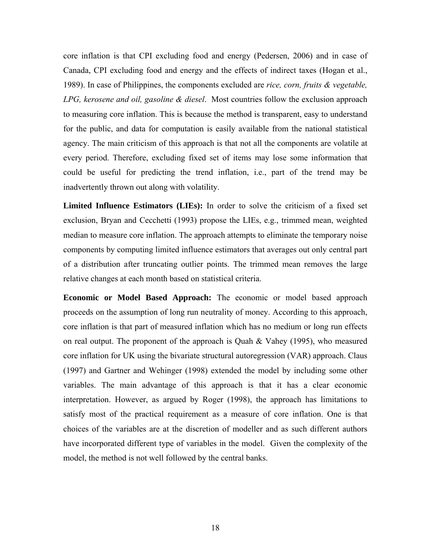core inflation is that CPI excluding food and energy (Pedersen, 2006) and in case of Canada, CPI excluding food and energy and the effects of indirect taxes (Hogan et al., 1989). In case of Philippines, the components excluded are *rice, corn, fruits & vegetable, LPG, kerosene and oil, gasoline & diesel*. Most countries follow the exclusion approach to measuring core inflation. This is because the method is transparent, easy to understand for the public, and data for computation is easily available from the national statistical agency. The main criticism of this approach is that not all the components are volatile at every period. Therefore, excluding fixed set of items may lose some information that could be useful for predicting the trend inflation, i.e., part of the trend may be inadvertently thrown out along with volatility.

**Limited Influence Estimators (LIEs):** In order to solve the criticism of a fixed set exclusion, Bryan and Cecchetti (1993) propose the LIEs, e.g., trimmed mean, weighted median to measure core inflation. The approach attempts to eliminate the temporary noise components by computing limited influence estimators that averages out only central part of a distribution after truncating outlier points. The trimmed mean removes the large relative changes at each month based on statistical criteria.

**Economic or Model Based Approach:** The economic or model based approach proceeds on the assumption of long run neutrality of money. According to this approach, core inflation is that part of measured inflation which has no medium or long run effects on real output. The proponent of the approach is Quah  $&$  Vahey (1995), who measured core inflation for UK using the bivariate structural autoregression (VAR) approach. Claus (1997) and Gartner and Wehinger (1998) extended the model by including some other variables. The main advantage of this approach is that it has a clear economic interpretation. However, as argued by Roger (1998), the approach has limitations to satisfy most of the practical requirement as a measure of core inflation. One is that choices of the variables are at the discretion of modeller and as such different authors have incorporated different type of variables in the model. Given the complexity of the model, the method is not well followed by the central banks.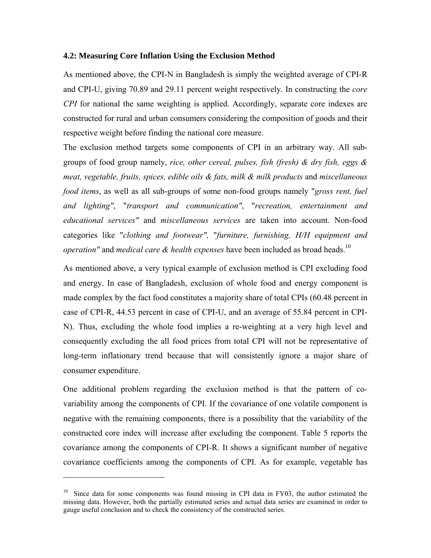#### **4.2: Measuring Core Inflation Using the Exclusion Method**

As mentioned above, the CPI-N in Bangladesh is simply the weighted average of CPI-R and CPI-U, giving 70.89 and 29.11 percent weight respectively. In constructing the *core CPI* for national the same weighting is applied. Accordingly, separate core indexes are constructed for rural and urban consumers considering the composition of goods and their respective weight before finding the national core measure.

The exclusion method targets some components of CPI in an arbitrary way. All subgroups of food group namely, *rice, other cereal, pulses, fish (fresh) & dry fish, eggs & meat, vegetable, fruits, spices, edible oils & fats, milk & milk products* and *miscellaneous food items*, as well as all sub-groups of some non-food groups namely "*gross rent, fuel and lighting"*, "*transport and communication"*, "*recreation, entertainment and educational services"* and *miscellaneous services* are taken into account. Non-food categories like "*clothing and footwear",* "*furniture, furnishing, H/H equipment and operation"* and *medical care & health expenses* have been included as broad heads.<sup>10</sup>

As mentioned above, a very typical example of exclusion method is CPI excluding food and energy. In case of Bangladesh, exclusion of whole food and energy component is made complex by the fact food constitutes a majority share of total CPIs (60.48 percent in case of CPI-R, 44.53 percent in case of CPI-U, and an average of 55.84 percent in CPI-N). Thus, excluding the whole food implies a re-weighting at a very high level and consequently excluding the all food prices from total CPI will not be representative of long-term inflationary trend because that will consistently ignore a major share of consumer expenditure.

One additional problem regarding the exclusion method is that the pattern of covariability among the components of CPI. If the covariance of one volatile component is negative with the remaining components, there is a possibility that the variability of the constructed core index will increase after excluding the component. Table 5 reports the covariance among the components of CPI-R. It shows a significant number of negative covariance coefficients among the components of CPI. As for example, vegetable has

<u>.</u>

 $10$  Since data for some components was found missing in CPI data in FY03, the author estimated the missing data. However, both the partially estimated series and actual data series are examined in order to gauge useful conclusion and to check the consistency of the constructed series.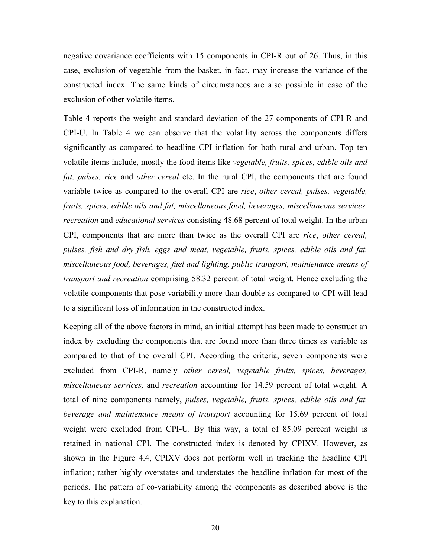negative covariance coefficients with 15 components in CPI-R out of 26. Thus, in this case, exclusion of vegetable from the basket, in fact, may increase the variance of the constructed index. The same kinds of circumstances are also possible in case of the exclusion of other volatile items.

Table 4 reports the weight and standard deviation of the 27 components of CPI-R and CPI-U. In Table 4 we can observe that the volatility across the components differs significantly as compared to headline CPI inflation for both rural and urban. Top ten volatile items include, mostly the food items like *vegetable, fruits, spices, edible oils and fat, pulses, rice* and *other cereal* etc. In the rural CPI, the components that are found variable twice as compared to the overall CPI are *rice*, *other cereal, pulses, vegetable, fruits, spices, edible oils and fat, miscellaneous food, beverages, miscellaneous services, recreation* and *educational services* consisting 48.68 percent of total weight. In the urban CPI, components that are more than twice as the overall CPI are *rice*, *other cereal, pulses, fish and dry fish, eggs and meat, vegetable, fruits, spices, edible oils and fat, miscellaneous food, beverages, fuel and lighting, public transport, maintenance means of transport and recreation* comprising 58.32 percent of total weight. Hence excluding the volatile components that pose variability more than double as compared to CPI will lead to a significant loss of information in the constructed index.

Keeping all of the above factors in mind, an initial attempt has been made to construct an index by excluding the components that are found more than three times as variable as compared to that of the overall CPI. According the criteria, seven components were excluded from CPI-R, namely *other cereal, vegetable fruits, spices, beverages, miscellaneous services,* and *recreation* accounting for 14.59 percent of total weight. A total of nine components namely, *pulses, vegetable, fruits, spices, edible oils and fat, beverage and maintenance means of transport* accounting for 15.69 percent of total weight were excluded from CPI-U. By this way, a total of 85.09 percent weight is retained in national CPI. The constructed index is denoted by CPIXV. However, as shown in the Figure 4.4, CPIXV does not perform well in tracking the headline CPI inflation; rather highly overstates and understates the headline inflation for most of the periods. The pattern of co-variability among the components as described above is the key to this explanation.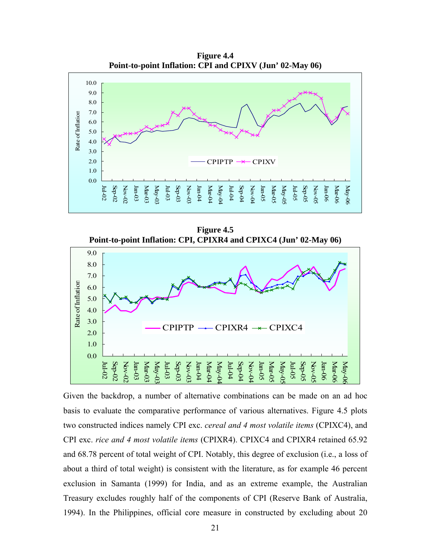

**Figure 4.5 Point-to-point Inflation: CPI, CPIXR4 and CPIXC4 (Jun' 02-May 06)** 



Given the backdrop, a number of alternative combinations can be made on an ad hoc basis to evaluate the comparative performance of various alternatives. Figure 4.5 plots two constructed indices namely CPI exc. *cereal and 4 most volatile items* (CPIXC4), and CPI exc. *rice and 4 most volatile items* (CPIXR4). CPIXC4 and CPIXR4 retained 65.92 and 68.78 percent of total weight of CPI. Notably, this degree of exclusion (i.e., a loss of about a third of total weight) is consistent with the literature, as for example 46 percent exclusion in Samanta (1999) for India, and as an extreme example, the Australian Treasury excludes roughly half of the components of CPI (Reserve Bank of Australia, 1994). In the Philippines, official core measure in constructed by excluding about 20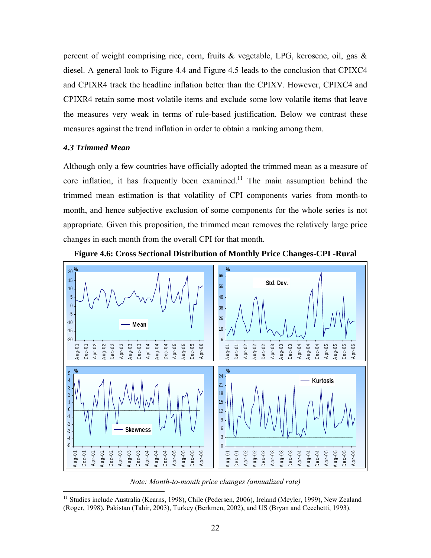percent of weight comprising rice, corn, fruits & vegetable, LPG, kerosene, oil, gas & diesel. A general look to Figure 4.4 and Figure 4.5 leads to the conclusion that CPIXC4 and CPIXR4 track the headline inflation better than the CPIXV. However, CPIXC4 and CPIXR4 retain some most volatile items and exclude some low volatile items that leave the measures very weak in terms of rule-based justification. Below we contrast these measures against the trend inflation in order to obtain a ranking among them.

#### *4.3 Trimmed Mean*

 $\overline{a}$ 

Although only a few countries have officially adopted the trimmed mean as a measure of core inflation, it has frequently been examined.<sup>11</sup> The main assumption behind the trimmed mean estimation is that volatility of CPI components varies from month-to month, and hence subjective exclusion of some components for the whole series is not appropriate. Given this proposition, the trimmed mean removes the relatively large price changes in each month from the overall CPI for that month.



**Figure 4.6: Cross Sectional Distribution of Monthly Price Changes-CPI -Rural** 

*Note: Month-to-month price changes (annualized rate)* 

<sup>&</sup>lt;sup>11</sup> Studies include Australia (Kearns, 1998), Chile (Pedersen, 2006), Ireland (Meyler, 1999), New Zealand (Roger, 1998), Pakistan (Tahir, 2003), Turkey (Berkmen, 2002), and US (Bryan and Cecchetti, 1993).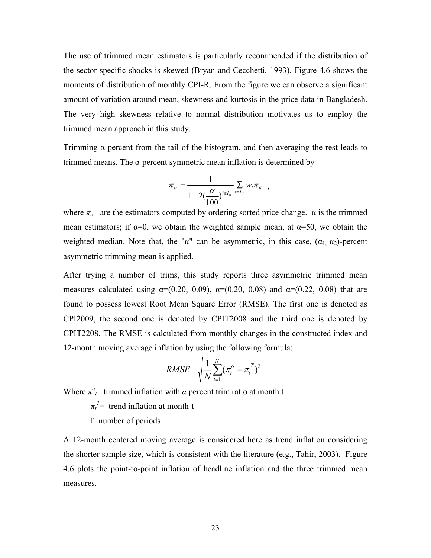The use of trimmed mean estimators is particularly recommended if the distribution of the sector specific shocks is skewed (Bryan and Cecchetti, 1993). Figure 4.6 shows the moments of distribution of monthly CPI-R. From the figure we can observe a significant amount of variation around mean, skewness and kurtosis in the price data in Bangladesh. The very high skewness relative to normal distribution motivates us to employ the trimmed mean approach in this study.

Trimming α-percent from the tail of the histogram, and then averaging the rest leads to trimmed means. The α-percent symmetric mean inflation is determined by

$$
\pi_{\alpha} = \frac{1}{1 - 2(\frac{\alpha}{100})^{i \in I_{\alpha}}} \sum_{i = I_{\alpha}} w_i \pi_{i \in I_{\alpha}} ,
$$

where  $\pi_a$  are the estimators computed by ordering sorted price change.  $\alpha$  is the trimmed mean estimators; if  $\alpha=0$ , we obtain the weighted sample mean, at  $\alpha=50$ , we obtain the weighted median. Note that, the " $\alpha$ " can be asymmetric, in this case,  $(\alpha_1, \alpha_2)$ -percent asymmetric trimming mean is applied.

After trying a number of trims, this study reports three asymmetric trimmed mean measures calculated using  $\alpha = (0.20, 0.09), \alpha = (0.20, 0.08)$  and  $\alpha = (0.22, 0.08)$  that are found to possess lowest Root Mean Square Error (RMSE). The first one is denoted as CPI2009, the second one is denoted by CPIT2008 and the third one is denoted by CPIT2208. The RMSE is calculated from monthly changes in the constructed index and 12-month moving average inflation by using the following formula:

$$
RMSE = \sqrt{\frac{1}{N} \sum_{t=1}^{N} (\pi_t^{\alpha} - \pi_t^{\alpha})^2}
$$

Where  $\pi^{\alpha}$  *τ* trimmed inflation with *α* percent trim ratio at month t

 $\pi_t^T$  trend inflation at month-t

T=number of periods

A 12-month centered moving average is considered here as trend inflation considering the shorter sample size, which is consistent with the literature (e.g., Tahir, 2003). Figure 4.6 plots the point-to-point inflation of headline inflation and the three trimmed mean measures.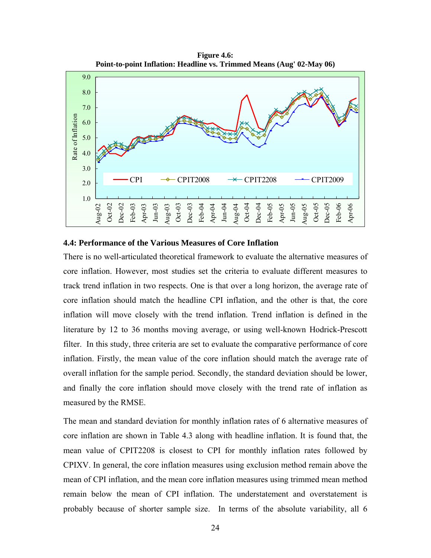**Figure 4.6: Point-to-point Inflation: Headline vs. Trimmed Means (Aug' 02-May 06)** 



#### **4.4: Performance of the Various Measures of Core Inflation**

There is no well-articulated theoretical framework to evaluate the alternative measures of core inflation. However, most studies set the criteria to evaluate different measures to track trend inflation in two respects. One is that over a long horizon, the average rate of core inflation should match the headline CPI inflation, and the other is that, the core inflation will move closely with the trend inflation. Trend inflation is defined in the literature by 12 to 36 months moving average, or using well-known Hodrick-Prescott filter. In this study, three criteria are set to evaluate the comparative performance of core inflation. Firstly, the mean value of the core inflation should match the average rate of overall inflation for the sample period. Secondly, the standard deviation should be lower, and finally the core inflation should move closely with the trend rate of inflation as measured by the RMSE.

The mean and standard deviation for monthly inflation rates of 6 alternative measures of core inflation are shown in Table 4.3 along with headline inflation. It is found that, the mean value of CPIT2208 is closest to CPI for monthly inflation rates followed by CPIXV. In general, the core inflation measures using exclusion method remain above the mean of CPI inflation, and the mean core inflation measures using trimmed mean method remain below the mean of CPI inflation. The understatement and overstatement is probably because of shorter sample size. In terms of the absolute variability, all 6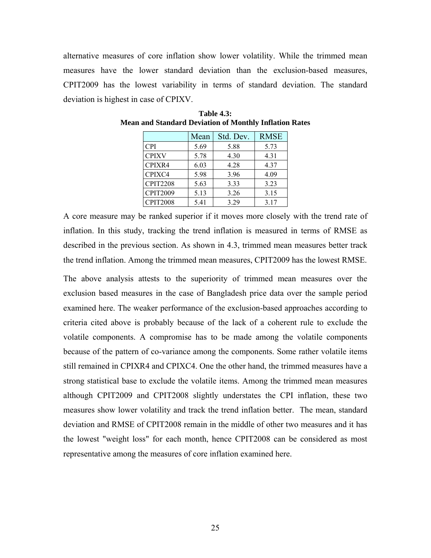alternative measures of core inflation show lower volatility. While the trimmed mean measures have the lower standard deviation than the exclusion-based measures, CPIT2009 has the lowest variability in terms of standard deviation. The standard deviation is highest in case of CPIXV.

|                 | Mean | Std. Dev. | <b>RMSE</b> |
|-----------------|------|-----------|-------------|
| <b>CPI</b>      | 5.69 | 5.88      | 5.73        |
| <b>CPIXV</b>    | 5.78 | 4.30      | 4.31        |
| CPIXR4          | 6.03 | 4.28      | 4.37        |
| CPIXC4          | 5.98 | 3.96      | 4.09        |
| <b>CPIT2208</b> | 5.63 | 3.33      | 3.23        |
| <b>CPIT2009</b> | 5.13 | 3.26      | 3.15        |
| <b>CPIT2008</b> | 5.41 | 3 2 9     | 3.17        |

**Table 4.3: Mean and Standard Deviation of Monthly Inflation Rates** 

A core measure may be ranked superior if it moves more closely with the trend rate of inflation. In this study, tracking the trend inflation is measured in terms of RMSE as described in the previous section. As shown in 4.3, trimmed mean measures better track the trend inflation. Among the trimmed mean measures, CPIT2009 has the lowest RMSE.

The above analysis attests to the superiority of trimmed mean measures over the exclusion based measures in the case of Bangladesh price data over the sample period examined here. The weaker performance of the exclusion-based approaches according to criteria cited above is probably because of the lack of a coherent rule to exclude the volatile components. A compromise has to be made among the volatile components because of the pattern of co-variance among the components. Some rather volatile items still remained in CPIXR4 and CPIXC4. One the other hand, the trimmed measures have a strong statistical base to exclude the volatile items. Among the trimmed mean measures although CPIT2009 and CPIT2008 slightly understates the CPI inflation, these two measures show lower volatility and track the trend inflation better. The mean, standard deviation and RMSE of CPIT2008 remain in the middle of other two measures and it has the lowest "weight loss" for each month, hence CPIT2008 can be considered as most representative among the measures of core inflation examined here.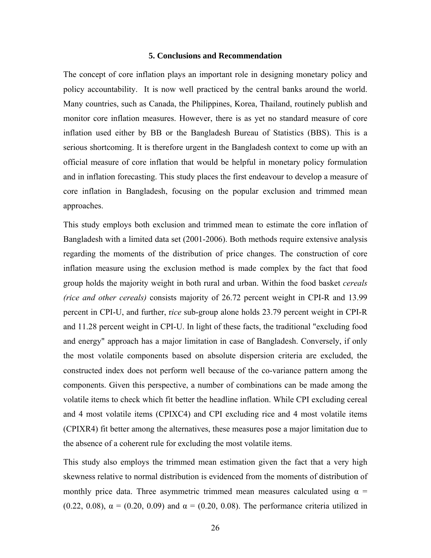#### **5. Conclusions and Recommendation**

The concept of core inflation plays an important role in designing monetary policy and policy accountability. It is now well practiced by the central banks around the world. Many countries, such as Canada, the Philippines, Korea, Thailand, routinely publish and monitor core inflation measures. However, there is as yet no standard measure of core inflation used either by BB or the Bangladesh Bureau of Statistics (BBS). This is a serious shortcoming. It is therefore urgent in the Bangladesh context to come up with an official measure of core inflation that would be helpful in monetary policy formulation and in inflation forecasting. This study places the first endeavour to develop a measure of core inflation in Bangladesh, focusing on the popular exclusion and trimmed mean approaches.

This study employs both exclusion and trimmed mean to estimate the core inflation of Bangladesh with a limited data set (2001-2006). Both methods require extensive analysis regarding the moments of the distribution of price changes. The construction of core inflation measure using the exclusion method is made complex by the fact that food group holds the majority weight in both rural and urban. Within the food basket *cereals (rice and other cereals)* consists majority of 26.72 percent weight in CPI-R and 13.99 percent in CPI-U, and further, r*ice* sub-group alone holds 23.79 percent weight in CPI-R and 11.28 percent weight in CPI-U. In light of these facts, the traditional "excluding food and energy" approach has a major limitation in case of Bangladesh. Conversely, if only the most volatile components based on absolute dispersion criteria are excluded, the constructed index does not perform well because of the co-variance pattern among the components. Given this perspective, a number of combinations can be made among the volatile items to check which fit better the headline inflation. While CPI excluding cereal and 4 most volatile items (CPIXC4) and CPI excluding rice and 4 most volatile items (CPIXR4) fit better among the alternatives, these measures pose a major limitation due to the absence of a coherent rule for excluding the most volatile items.

This study also employs the trimmed mean estimation given the fact that a very high skewness relative to normal distribution is evidenced from the moments of distribution of monthly price data. Three asymmetric trimmed mean measures calculated using  $\alpha$  = (0.22, 0.08),  $\alpha = (0.20, 0.09)$  and  $\alpha = (0.20, 0.08)$ . The performance criteria utilized in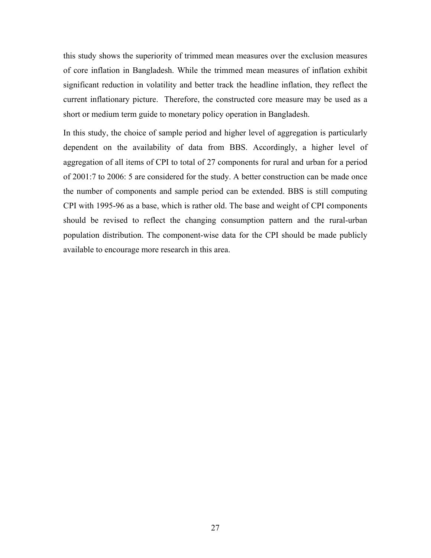this study shows the superiority of trimmed mean measures over the exclusion measures of core inflation in Bangladesh. While the trimmed mean measures of inflation exhibit significant reduction in volatility and better track the headline inflation, they reflect the current inflationary picture. Therefore, the constructed core measure may be used as a short or medium term guide to monetary policy operation in Bangladesh.

In this study, the choice of sample period and higher level of aggregation is particularly dependent on the availability of data from BBS. Accordingly, a higher level of aggregation of all items of CPI to total of 27 components for rural and urban for a period of 2001:7 to 2006: 5 are considered for the study. A better construction can be made once the number of components and sample period can be extended. BBS is still computing CPI with 1995-96 as a base, which is rather old. The base and weight of CPI components should be revised to reflect the changing consumption pattern and the rural-urban population distribution. The component-wise data for the CPI should be made publicly available to encourage more research in this area.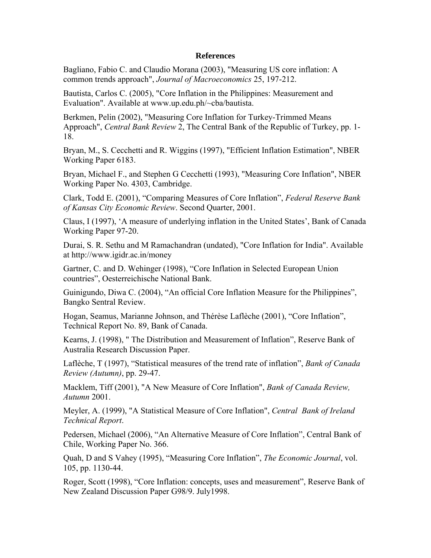#### **References**

Bagliano, Fabio C. and Claudio Morana (2003), "Measuring US core inflation: A common trends approach", *Journal of Macroeconomics* 25, 197-212.

Bautista, Carlos C. (2005), "Core Inflation in the Philippines: Measurement and Evaluation". Available at www.up.edu.ph/~cba/bautista.

Berkmen, Pelin (2002), "Measuring Core Inflation for Turkey-Trimmed Means Approach", *Central Bank Review* 2, The Central Bank of the Republic of Turkey, pp. 1- 18.

Bryan, M., S. Cecchetti and R. Wiggins (1997), "Efficient Inflation Estimation", NBER Working Paper 6183.

Bryan, Michael F., and Stephen G Cecchetti (1993), "Measuring Core Inflation", NBER Working Paper No. 4303, Cambridge.

Clark, Todd E. (2001), "Comparing Measures of Core Inflation", *Federal Reserve Bank of Kansas City Economic Review*. Second Quarter, 2001.

Claus, I (1997), 'A measure of underlying inflation in the United States', Bank of Canada Working Paper 97-20.

Durai, S. R. Sethu and M Ramachandran (undated), "Core Inflation for India". Available at http://www.igidr.ac.in/money

Gartner, C. and D. Wehinger (1998), "Core Inflation in Selected European Union countries", Oesterreichische National Bank.

Guinigundo, Diwa C. (2004), "An official Core Inflation Measure for the Philippines", Bangko Sentral Review.

Hogan, Seamus, Marianne Johnson, and Thérèse Laflèche (2001), "Core Inflation", Technical Report No. 89, Bank of Canada.

Kearns, J. (1998), " The Distribution and Measurement of Inflation", Reserve Bank of Australia Research Discussion Paper.

Laflèche, T (1997), "Statistical measures of the trend rate of inflation", *Bank of Canada Review (Autumn)*, pp. 29-47.

Macklem, Tiff (2001), "A New Measure of Core Inflation", *Bank of Canada Review, Autumn* 2001.

Meyler, A. (1999), "A Statistical Measure of Core Inflation", *Central Bank of Ireland Technical Report*.

Pedersen, Michael (2006), "An Alternative Measure of Core Inflation", Central Bank of Chile, Working Paper No. 366.

Quah, D and S Vahey (1995), "Measuring Core Inflation", *The Economic Journal*, vol. 105, pp. 1130-44.

Roger, Scott (1998), "Core Inflation: concepts, uses and measurement", Reserve Bank of New Zealand Discussion Paper G98/9. July1998.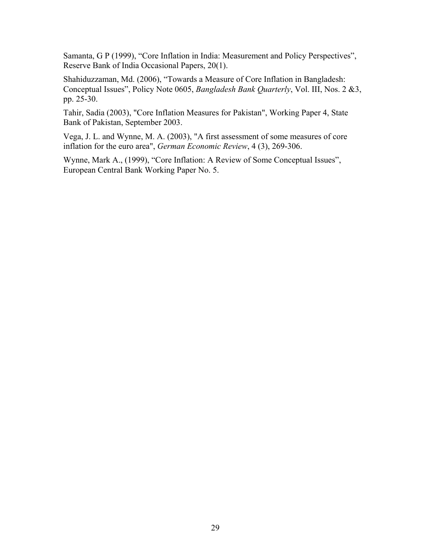Samanta, G P (1999), "Core Inflation in India: Measurement and Policy Perspectives", Reserve Bank of India Occasional Papers, 20(1).

Shahiduzzaman, Md. (2006), "Towards a Measure of Core Inflation in Bangladesh: Conceptual Issues", Policy Note 0605, *Bangladesh Bank Quarterly*, Vol. III, Nos. 2 &3, pp. 25-30.

Tahir, Sadia (2003), "Core Inflation Measures for Pakistan", Working Paper 4, State Bank of Pakistan, September 2003.

Vega, J. L. and Wynne, M. A. (2003), "A first assessment of some measures of core inflation for the euro area", *German Economic Review*, 4 (3), 269-306.

Wynne, Mark A., (1999), "Core Inflation: A Review of Some Conceptual Issues", European Central Bank Working Paper No. 5.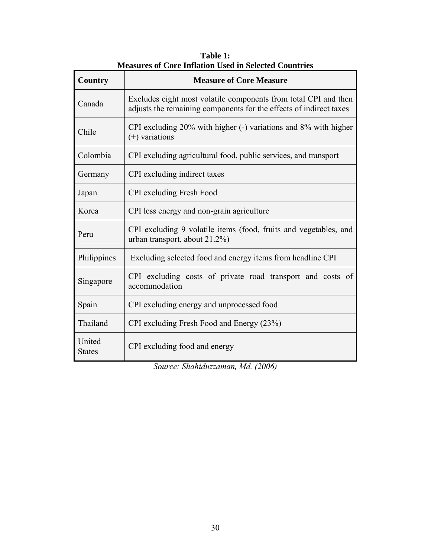| Country                 | asares or Core mination esca in ser<br><b>Measure of Core Measure</b>                                                                 |
|-------------------------|---------------------------------------------------------------------------------------------------------------------------------------|
| Canada                  | Excludes eight most volatile components from total CPI and then<br>adjusts the remaining components for the effects of indirect taxes |
| Chile                   | CPI excluding 20% with higher (-) variations and 8% with higher<br>$(+)$ variations                                                   |
| Colombia                | CPI excluding agricultural food, public services, and transport                                                                       |
| Germany                 | CPI excluding indirect taxes                                                                                                          |
| Japan                   | <b>CPI</b> excluding Fresh Food                                                                                                       |
| Korea                   | CPI less energy and non-grain agriculture                                                                                             |
| Peru                    | CPI excluding 9 volatile items (food, fruits and vegetables, and<br>urban transport, about 21.2%)                                     |
| Philippines             | Excluding selected food and energy items from headline CPI                                                                            |
| Singapore               | CPI excluding costs of private road transport and costs of<br>accommodation                                                           |
| Spain                   | CPI excluding energy and unprocessed food                                                                                             |
| Thailand                | CPI excluding Fresh Food and Energy (23%)                                                                                             |
| United<br><b>States</b> | CPI excluding food and energy                                                                                                         |

**Table 1: Measures of Core Inflation Used in Selected Countries** 

*Source: Shahiduzzaman, Md. (2006)*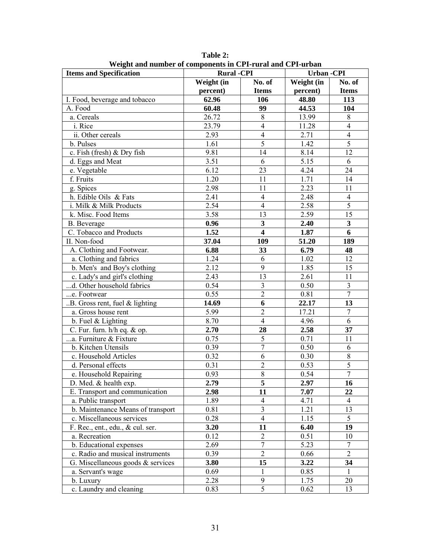| <b>Items and Specification</b>      | <b>Rural -CPI</b> |                         | <b>Urban-CPI</b> |                          |  |
|-------------------------------------|-------------------|-------------------------|------------------|--------------------------|--|
|                                     | Weight (in        | No. of                  | Weight (in       | No. of                   |  |
|                                     | percent)          | <b>Items</b>            | percent)         | <b>Items</b>             |  |
| I. Food, beverage and tobacco       | 62.96             | 106                     | 48.80            | 113                      |  |
| A. Food                             | 60.48             | 99                      | 44.53            | 104                      |  |
| a. Cereals                          | 26.72             | 8                       | 13.99            | $8\,$                    |  |
| i. Rice                             | 23.79             | $\overline{4}$          | 11.28            | $\overline{\mathcal{L}}$ |  |
| ii. Other cereals                   | 2.93              | $\overline{4}$          | 2.71             | $\overline{4}$           |  |
| b. Pulses                           | 1.61              | $\overline{5}$          | 1.42             | $\overline{5}$           |  |
| c. Fish (fresh) & Dry fish          | 9.81              | 14                      | 8.14             | 12                       |  |
| d. Eggs and Meat                    | 3.51              | 6                       | 5.15             | 6                        |  |
| e. Vegetable                        | 6.12              | 23                      | 4.24             | 24                       |  |
| f. Fruits                           | 1.20              | 11                      | 1.71             | 14                       |  |
| g. Spices                           | 2.98              | 11                      | 2.23             | 11                       |  |
| h. Edible Oils & Fats               | 2.41              | $\overline{4}$          | 2.48             | $\overline{4}$           |  |
| i. Milk & Milk Products             | 2.54              | $\overline{4}$          | 2.58             | $\overline{5}$           |  |
| k. Misc. Food Items                 | 3.58              | 13                      | 2.59             | 15                       |  |
| <b>B.</b> Beverage                  | 0.96              | $\mathbf{3}$            | 2.40             | $\overline{\mathbf{3}}$  |  |
| C. Tobacco and Products             | 1.52              | $\overline{\mathbf{4}}$ | 1.87             | 6                        |  |
| II. Non-food                        | 37.04             | 109                     | 51.20            | 189                      |  |
| A. Clothing and Footwear.           | 6.88              | 33                      | 6.79             | 48                       |  |
| a. Clothing and fabrics             | $\overline{1.24}$ | 6                       | 1.02             | 12                       |  |
| b. Men's and Boy's clothing         | 2.12              | 9                       | 1.85             | 15                       |  |
| c. Lady's and girl's clothing       | 2.43              | 13                      | 2.61             | 11                       |  |
| d. Other household fabrics          | 0.54              | $\overline{3}$          | 0.50             | 3                        |  |
| e. Footwear                         | 0.55              | $\overline{2}$          | 0.81             | $\overline{7}$           |  |
| B. Gross rent, fuel & lighting      | 14.69             | $\overline{6}$          | 22.17            | 13                       |  |
| a. Gross house rent                 | 5.99              | $\overline{2}$          | 17.21            | $\overline{7}$           |  |
| b. Fuel $&$ Lighting                | 8.70              | $\overline{4}$          | 4.96             | 6                        |  |
| C. Fur. furn. h/h eq. & op.         | 2.70              | 28                      | 2.58             | 37                       |  |
| a. Furniture & Fixture              | 0.75              | $\overline{5}$          | 0.71             | 11                       |  |
| b. Kitchen Utensils                 | 0.39              | $\tau$                  | 0.50             | 6                        |  |
| c. Household Articles               | 0.32              | 6                       | 0.30             | 8                        |  |
| d. Personal effects                 | 0.31              | $\overline{2}$          | 0.53             | 5                        |  |
| e. Household Repairing              | 0.93              | $\overline{8}$          | 0.54             | $\overline{7}$           |  |
| D. Med. & health exp.               | 2.79              | 5                       | 2.97             | 16                       |  |
| E. Transport and communication      | 2.98              | 11                      | 7.07             | 22                       |  |
| a. Public transport                 | 1.89              | $\overline{4}$          | 4.71             | $\overline{4}$           |  |
| b. Maintenance Means of transport   | 0.81              | $\mathfrak{Z}$          | 1.21             | 13                       |  |
| c. Miscellaneous services           | 0.28              | $\overline{4}$          | 1.15             | 5                        |  |
| F. Rec., ent., edu., & cul. ser.    | 3.20              | 11                      | 6.40             | 19                       |  |
| a. Recreation                       | 0.12              | $\overline{2}$          | 0.51             | 10                       |  |
| b. Educational expenses             | 2.69              | $\tau$                  | 5.23             | $\tau$                   |  |
| c. Radio and musical instruments    | 0.39              | $\overline{2}$          | 0.66             | $\overline{2}$           |  |
| G. Miscellaneous goods $&$ services | 3.80              | 15                      | 3.22             | 34                       |  |
| a. Servant's wage                   | 0.69              | $\mathbf{1}$            | 0.85             | $\mathbf{1}$             |  |
| b. Luxury                           | 2.28              | 9                       | 1.75             | 20                       |  |
| c. Laundry and cleaning             | 0.83              | $\overline{5}$          | 0.62             | 13                       |  |

**Table 2: Weight and number of components in CPI-rural and CPI-urban**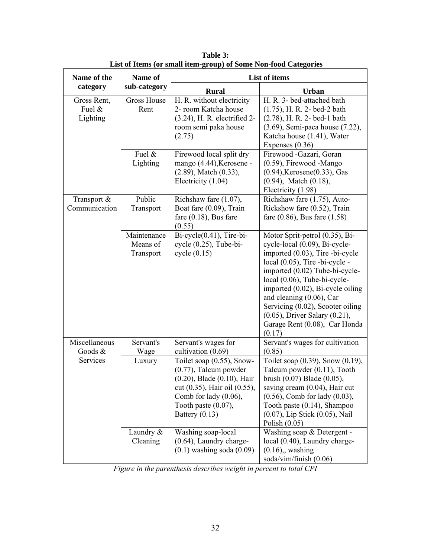| Name of the                            | Name of                              |                                                                                                                                                                  | List of items                                                                                                                                                                                                                                                                                                                                                                                  |  |  |  |  |
|----------------------------------------|--------------------------------------|------------------------------------------------------------------------------------------------------------------------------------------------------------------|------------------------------------------------------------------------------------------------------------------------------------------------------------------------------------------------------------------------------------------------------------------------------------------------------------------------------------------------------------------------------------------------|--|--|--|--|
| category                               | sub-category                         | <b>Rural</b>                                                                                                                                                     | <b>Urban</b>                                                                                                                                                                                                                                                                                                                                                                                   |  |  |  |  |
| Gross Rent,<br>Fuel $\&$<br>Lighting   | <b>Gross House</b><br>Rent           | H. R. without electricity<br>2- room Katcha house<br>(3.24), H. R. electrified 2-<br>room semi paka house<br>(2.75)                                              | H. R. 3- bed-attached bath<br>$(1.75)$ , H. R. 2- bed-2 bath<br>$(2.78)$ , H. R. 2- bed-1 bath<br>(3.69), Semi-paca house (7.22),<br>Katcha house (1.41), Water<br>Expenses $(0.36)$                                                                                                                                                                                                           |  |  |  |  |
|                                        | Fuel &<br>Lighting                   | Firewood local split dry<br>mango (4.44), Kerosene -<br>$(2.89)$ , Match $(0.33)$ ,<br>Electricity (1.04)                                                        | Firewood -Gazari, Goran<br>$(0.59)$ , Firewood -Mango<br>$(0.94)$ , Kerosene $(0.33)$ , Gas<br>$(0.94)$ , Match $(0.18)$ ,<br>Electricity (1.98)                                                                                                                                                                                                                                               |  |  |  |  |
| Transport &<br>Communication           | Public<br>Transport                  | Richshaw fare (1.07),<br>Boat fare (0.09), Train<br>fare $(0.18)$ , Bus fare<br>(0.55)                                                                           | Richshaw fare (1.75), Auto-<br>Rickshow fare (0.52), Train<br>fare $(0.86)$ , Bus fare $(1.58)$                                                                                                                                                                                                                                                                                                |  |  |  |  |
|                                        | Maintenance<br>Means of<br>Transport | $Bi-cycle(0.41)$ , Tire-bi-<br>$cycle (0.25)$ , Tube-bi-<br>cycle(0.15)                                                                                          | Motor Sprit-petrol (0.35), Bi-<br>cycle-local (0.09), Bi-cycle-<br>imported (0.03), Tire-bi-cycle<br>local $(0.05)$ , Tire -bi-cycle -<br>imported (0.02) Tube-bi-cycle-<br>local (0.06), Tube-bi-cycle-<br>imported (0.02), Bi-cycle oiling<br>and cleaning (0.06), Car<br>Servicing (0.02), Scooter oiling<br>$(0.05)$ , Driver Salary $(0.21)$ ,<br>Garage Rent (0.08), Car Honda<br>(0.17) |  |  |  |  |
| Miscellaneous<br>Goods $&$<br>Services | Servant's<br>Wage<br>Luxury          | Servant's wages for<br>cultivation (0.69)<br>Toilet soap $(0.55)$ , Snow-                                                                                        | Servant's wages for cultivation<br>(0.85)<br>Toilet soap $(0.39)$ , Snow $(0.19)$ ,                                                                                                                                                                                                                                                                                                            |  |  |  |  |
|                                        |                                      | $(0.77)$ , Talcum powder<br>(0.20), Blade (0.10), Hair<br>cut (0.35), Hair oil (0.55),<br>Comb for lady $(0.06)$ ,<br>Tooth paste $(0.07)$ ,<br>Battery $(0.13)$ | Talcum powder (0.11), Tooth<br>brush $(0.07)$ Blade $(0.05)$ ,<br>saving cream (0.04), Hair cut<br>$(0.56)$ , Comb for lady $(0.03)$ ,<br>Tooth paste (0.14), Shampoo<br>(0.07), Lip Stick (0.05), Nail<br>Polish $(0.05)$                                                                                                                                                                     |  |  |  |  |
|                                        | Laundry &<br>Cleaning                | Washing soap-local<br>$(0.64)$ , Laundry charge-<br>$(0.1)$ washing soda $(0.09)$                                                                                | Washing soap & Detergent -<br>local (0.40), Laundry charge-<br>$(0.16)$ , washing<br>soda/vim/finish (0.06)                                                                                                                                                                                                                                                                                    |  |  |  |  |

**Table 3: List of Items (or small item-group) of Some Non-food Categories** 

*Figure in the parenthesis describes weight in percent to total CPI*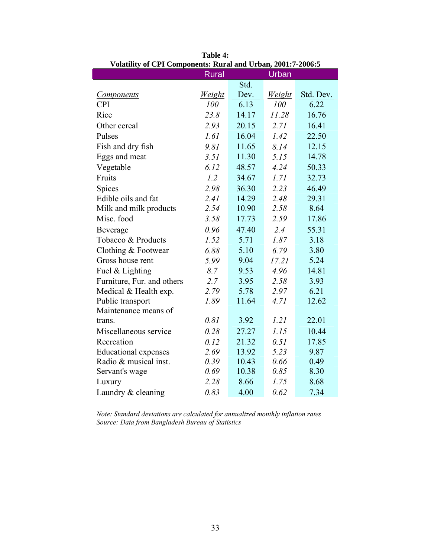| mathly of CTT Components, Kural and Croan, 2001, P-2000.O |              |       |               |           |
|-----------------------------------------------------------|--------------|-------|---------------|-----------|
|                                                           | <b>Rural</b> |       | Urban         |           |
|                                                           |              | Std.  |               |           |
| <b>Components</b>                                         | Weight       | Dev.  | <u>Weight</u> | Std. Dev. |
| <b>CPI</b>                                                | 100          | 6.13  | 100           | 6.22      |
| Rice                                                      | 23.8         | 14.17 | 11.28         | 16.76     |
| Other cereal                                              | 2.93         | 20.15 | 2.71          | 16.41     |
| Pulses                                                    | 1.61         | 16.04 | 1.42          | 22.50     |
| Fish and dry fish                                         | 9.81         | 11.65 | 8.14          | 12.15     |
| Eggs and meat                                             | 3.51         | 11.30 | 5.15          | 14.78     |
| Vegetable                                                 | 6.12         | 48.57 | 4.24          | 50.33     |
| Fruits                                                    | 1.2          | 34.67 | 1.71          | 32.73     |
| Spices                                                    | 2.98         | 36.30 | 2.23          | 46.49     |
| Edible oils and fat                                       | 2.41         | 14.29 | 2.48          | 29.31     |
| Milk and milk products                                    | 2.54         | 10.90 | 2.58          | 8.64      |
| Misc. food                                                | 3.58         | 17.73 | 2.59          | 17.86     |
| Beverage                                                  | 0.96         | 47.40 | 2.4           | 55.31     |
| Tobacco & Products                                        | 1.52         | 5.71  | 1.87          | 3.18      |
| Clothing & Footwear                                       | 6.88         | 5.10  | 6.79          | 3.80      |
| Gross house rent                                          | 5.99         | 9.04  | 17.21         | 5.24      |
| Fuel & Lighting                                           | 8.7          | 9.53  | 4.96          | 14.81     |
| Furniture, Fur. and others                                | 2.7          | 3.95  | 2.58          | 3.93      |
| Medical & Health exp.                                     | 2.79         | 5.78  | 2.97          | 6.21      |
| Public transport                                          | 1.89         | 11.64 | 4.71          | 12.62     |
| Maintenance means of                                      |              |       |               |           |
| trans.                                                    | 0.81         | 3.92  | 1.21          | 22.01     |
| Miscellaneous service                                     | 0.28         | 27.27 | 1.15          | 10.44     |
| Recreation                                                | 0.12         | 21.32 | 0.51          | 17.85     |
| <b>Educational expenses</b>                               | 2.69         | 13.92 | 5.23          | 9.87      |
| Radio & musical inst.                                     | 0.39         | 10.43 | 0.66          | 0.49      |
| Servant's wage                                            | 0.69         | 10.38 | 0.85          | 8.30      |
| Luxury                                                    | 2.28         | 8.66  | 1.75          | 8.68      |
| Laundry & cleaning                                        | 0.83         | 4.00  | 0.62          | 7.34      |

**Table 4: Volatility of CPI Components: Rural and Urban, 2001:7-2006:5** 

I

*Note: Standard deviations are calculated for annualized monthly inflation rates Source: Data from Bangladesh Bureau of Statistics*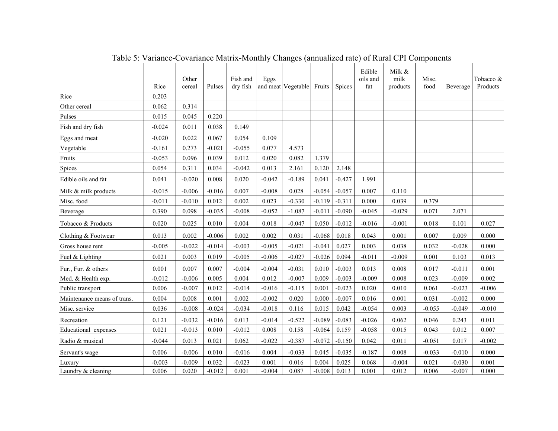|                             | Rice     | Other<br>cereal | Pulses   | Fish and<br>dry fish | Eggs     | and meat Vegetable | Fruits   | <b>Spices</b> | Edible<br>oils and<br>fat | Milk &<br>milk<br>products | Misc.<br>food | Beverage | Tobacco &<br>Products |
|-----------------------------|----------|-----------------|----------|----------------------|----------|--------------------|----------|---------------|---------------------------|----------------------------|---------------|----------|-----------------------|
| Rice                        | 0.203    |                 |          |                      |          |                    |          |               |                           |                            |               |          |                       |
| Other cereal                | 0.062    | 0.314           |          |                      |          |                    |          |               |                           |                            |               |          |                       |
| Pulses                      | 0.015    | 0.045           | 0.220    |                      |          |                    |          |               |                           |                            |               |          |                       |
| Fish and dry fish           | $-0.024$ | 0.011           | 0.038    | 0.149                |          |                    |          |               |                           |                            |               |          |                       |
| Eggs and meat               | $-0.020$ | 0.022           | 0.067    | 0.054                | 0.109    |                    |          |               |                           |                            |               |          |                       |
| Vegetable                   | $-0.161$ | 0.273           | $-0.021$ | $-0.055$             | 0.077    | 4.573              |          |               |                           |                            |               |          |                       |
| Fruits                      | $-0.053$ | 0.096           | 0.039    | 0.012                | 0.020    | 0.082              | 1.379    |               |                           |                            |               |          |                       |
| Spices                      | 0.054    | 0.311           | 0.034    | $-0.042$             | 0.013    | 2.161              | 0.120    | 2.148         |                           |                            |               |          |                       |
| Edible oils and fat         | 0.041    | $-0.020$        | 0.008    | 0.020                | $-0.042$ | $-0.189$           | 0.041    | $-0.427$      | 1.991                     |                            |               |          |                       |
| Milk & milk products        | $-0.015$ | $-0.006$        | $-0.016$ | 0.007                | $-0.008$ | 0.028              | $-0.054$ | $-0.057$      | 0.007                     | 0.110                      |               |          |                       |
| Misc. food                  | $-0.011$ | $-0.010$        | 0.012    | 0.002                | 0.023    | $-0.330$           | $-0.119$ | $-0.311$      | 0.000                     | 0.039                      | 0.379         |          |                       |
| Beverage                    | 0.390    | 0.098           | $-0.035$ | $-0.008$             | $-0.052$ | $-1.087$           | $-0.011$ | $-0.090$      | $-0.045$                  | $-0.029$                   | 0.071         | 2.071    |                       |
| Tobacco & Products          | 0.020    | 0.025           | 0.010    | 0.004                | 0.018    | $-0.047$           | 0.050    | $-0.012$      | $-0.016$                  | $-0.001$                   | 0.018         | 0.101    | 0.027                 |
| Clothing & Footwear         | 0.013    | 0.002           | $-0.006$ | 0.002                | 0.002    | 0.031              | $-0.068$ | 0.018         | 0.043                     | 0.001                      | 0.007         | 0.009    | 0.000                 |
| Gross house rent            | $-0.005$ | $-0.022$        | $-0.014$ | $-0.003$             | $-0.005$ | $-0.021$           | $-0.041$ | 0.027         | 0.003                     | 0.038                      | 0.032         | $-0.028$ | 0.000                 |
| Fuel & Lighting             | 0.021    | 0.003           | 0.019    | $-0.005$             | $-0.006$ | $-0.027$           | $-0.026$ | 0.094         | $-0.011$                  | $-0.009$                   | 0.001         | 0.103    | 0.013                 |
| Fur., Fur. & others         | 0.001    | 0.007           | 0.007    | $-0.004$             | $-0.004$ | $-0.031$           | 0.010    | $-0.003$      | 0.013                     | 0.008                      | 0.017         | $-0.011$ | 0.001                 |
| Med. & Health exp.          | $-0.012$ | $-0.006$        | 0.005    | 0.004                | 0.012    | $-0.007$           | 0.009    | $-0.003$      | $-0.009$                  | 0.008                      | 0.023         | $-0.009$ | 0.002                 |
| Public transport            | 0.006    | $-0.007$        | 0.012    | $-0.014$             | $-0.016$ | $-0.115$           | 0.001    | $-0.023$      | 0.020                     | 0.010                      | 0.061         | $-0.023$ | $-0.006$              |
| Maintenance means of trans. | 0.004    | 0.008           | 0.001    | 0.002                | $-0.002$ | 0.020              | 0.000    | $-0.007$      | 0.016                     | 0.001                      | 0.031         | $-0.002$ | 0.000                 |
| Misc. service               | 0.036    | $-0.008$        | $-0.024$ | $-0.034$             | $-0.018$ | 0.116              | 0.015    | 0.042         | $-0.054$                  | 0.003                      | $-0.055$      | $-0.049$ | $-0.010$              |
| Recreation                  | 0.121    | $-0.032$        | $-0.016$ | 0.013                | $-0.014$ | $-0.522$           | $-0.089$ | $-0.083$      | $-0.026$                  | 0.062                      | 0.046         | 0.243    | 0.011                 |
| Educational expenses        | 0.021    | $-0.013$        | 0.010    | $-0.012$             | 0.008    | 0.158              | $-0.064$ | 0.159         | $-0.058$                  | 0.015                      | 0.043         | 0.012    | 0.007                 |
| Radio & musical             | $-0.044$ | 0.013           | 0.021    | 0.062                | $-0.022$ | $-0.387$           | $-0.072$ | $-0.150$      | 0.042                     | 0.011                      | $-0.051$      | 0.017    | $-0.002$              |
| Servant's wage              | 0.006    | $-0.006$        | 0.010    | $-0.016$             | 0.004    | $-0.033$           | 0.045    | $-0.035$      | $-0.187$                  | 0.008                      | $-0.033$      | $-0.010$ | 0.000                 |
| Luxury                      | $-0.003$ | $-0.009$        | 0.032    | $-0.023$             | 0.001    | 0.016              | 0.004    | 0.025         | 0.068                     | $-0.004$                   | 0.021         | $-0.030$ | 0.001                 |
| Laundry & cleaning          | 0.006    | 0.020           | $-0.012$ | 0.001                | $-0.004$ | 0.087              | $-0.008$ | 0.013         | 0.001                     | 0.012                      | 0.006         | $-0.007$ | 0.000                 |

Table 5: Variance-Covariance Matrix-Monthly Changes (annualized rate) of Rural CPI Components